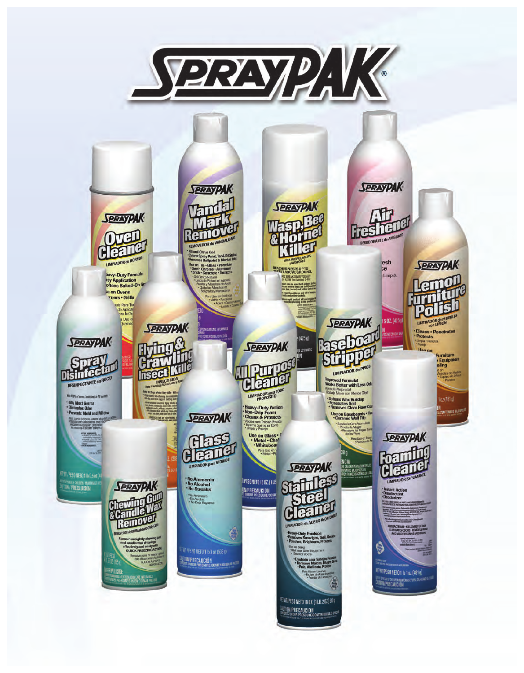